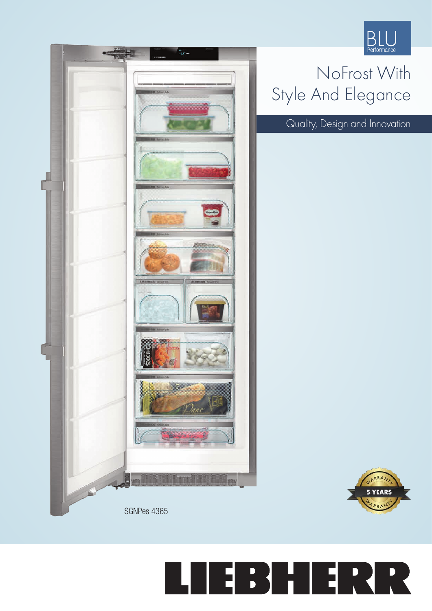

## NoFrost With Style And Elegance

Quality, Design and Innovation



## E BHI **P** Е R